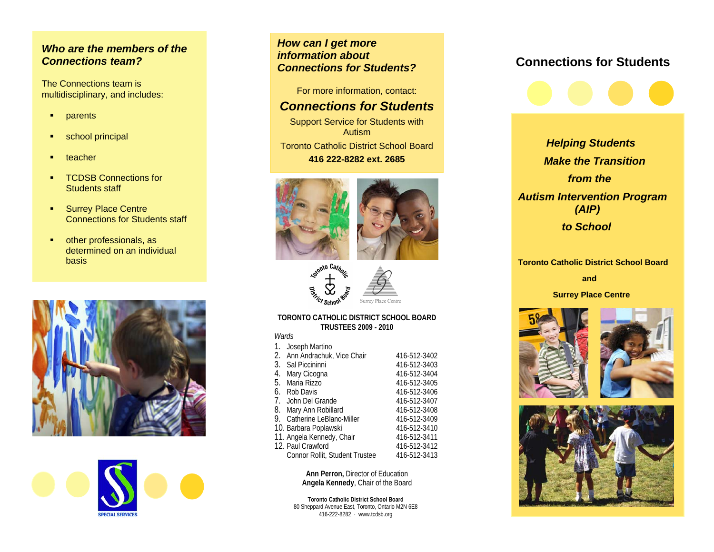### *Who are the members of the Connections team?*

The Connections team is multidisciplinary, and includes:

- **•** parents
- **school principal**
- teacher
- **TCDSB Connections for** Students staff
- **Surrey Place Centre** Connections for Students staff
- **•** other professionals, as determined on an individual basis





*How can I get more information about Connections for Students?*

For more information, contact:

## *Connections for Students*

Support Service for Students with Autism Toronto Catholic District School Board **416 222-8282 ext. 2685** 





#### **TORONTO CATHOLIC DISTRICT SCHOOL BOARD TRUSTEES 2009 - 2010**

*Wards*

| $\mathbf{1}$ . | Joseph Martino                 |              |  |
|----------------|--------------------------------|--------------|--|
|                | 2. Ann Andrachuk, Vice Chair   | 416-512-3402 |  |
|                | 3. Sal Piccininni              | 416-512-3403 |  |
|                | 4. Mary Cicogna                | 416-512-3404 |  |
|                | 5. Maria Rizzo                 | 416-512-3405 |  |
|                | 6. Rob Davis                   | 416-512-3406 |  |
|                | 7. John Del Grande             | 416-512-3407 |  |
|                | 8. Mary Ann Robillard          | 416-512-3408 |  |
|                | 9. Catherine LeBlanc-Miller    | 416-512-3409 |  |
|                | 10. Barbara Poplawski          | 416-512-3410 |  |
|                | 11. Angela Kennedy, Chair      | 416-512-3411 |  |
|                | 12. Paul Crawford              | 416-512-3412 |  |
|                | Connor Rollit, Student Trustee | 416-512-3413 |  |
|                |                                |              |  |

**Ann Perron,** Director of Education **Angela Kennedy**, Chair of the Board

**Toronto Catholic District School Board**  80 Sheppard Avenue East, Toronto, Ontario M2N 6E8 416-222-8282 www.tcdsb.org

# **Connections for Students**



*Helping Students Make the Transition from the Autism Intervention Program (AIP) to School* 

#### **Toronto Catholic District School Board**

 **and** 

 **Surrey Place Centre**